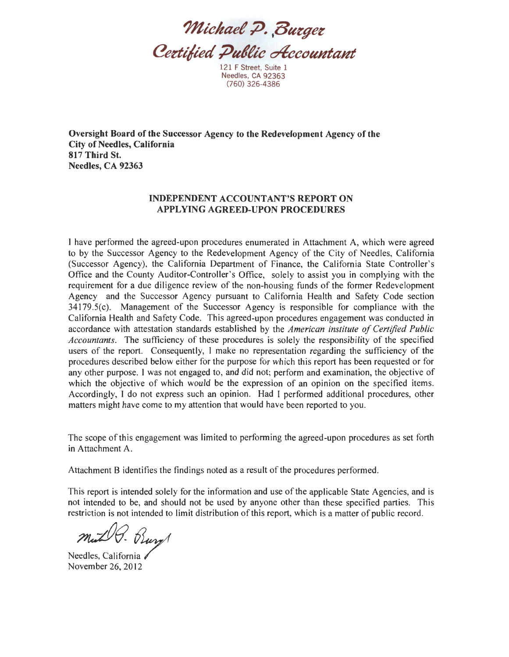*Michael P. Burger* Certified Public Accountant

121 F Street, Suite 1 Needles, CA 92363 (760) 326-4386

**Oversight Board of the Successor Agency to the Redevelopment Agency of the City of Needles, California 817 Third St. Needles, CA 92363** 

## **INDEPENDENT ACCOUNTANT'S REPORT ON APPL YING AGREED-UPON PROCEDURES**

I have performed the agreed-upon procedures enumerated in Attachment A, which were agreed to by the Successor Agency to the Redevelopment Agency of the City of Needles, California (Successor Agency), the California Department of Finance, the California State Controller's Office and the County Auditor-Controller's Office, solely to assist you in complying with the requirement for a due diligence review of the non-housing funds of the former Redevelopment Agency and the Successor Agency pursuant to California Health and Safety Code section  $34179.5(c)$ . Management of the Successor Agency is responsible for compliance with the California Health and Safety Code. This agreed-upon procedures engagement was conducted in accordance with attestation standards established by the *American institute of Certified Public Accountants.* The sufficiency of these procedures is solely the responsibility of the specified users of the report. Consequently, I make no representation regarding the sufficiency of the procedures described below either for the purpose for which this report has been requested or for any other purpose. I was not engaged to, and did not; perform and examination, the objective of which the objective of which would be the expression of an opinion on the specified items. Accordingly, I do not express such an opinion. Had I performed additional procedures, other matters might have come to my attention that would have been reported to you.

The scope of this engagement was limited to performing the agreed-upon procedures as set forth in Attachment A.

Attachment B identifies the findings noted as a result of the procedures performed.

This report is intended solely for the information and use of the applicable State Agencies, and is not intended to be, and should not be used by anyone other than these specified parties. This restriction is not intended to limit distribution of this report, which is a matter of public record.

 $m_{\nu}/\sqrt{2}$ .  $B_{\mu\nu}/\sqrt{2}$ <br>Needles, California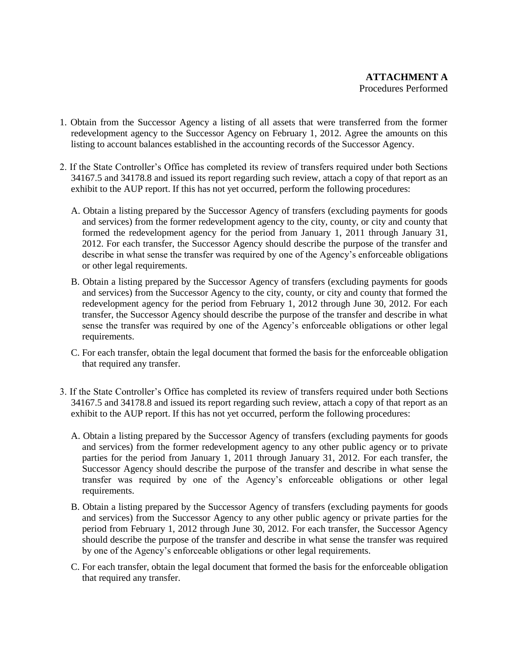- 1. Obtain from the Successor Agency a listing of all assets that were transferred from the former redevelopment agency to the Successor Agency on February 1, 2012. Agree the amounts on this listing to account balances established in the accounting records of the Successor Agency.
- 2. If the State Controller's Office has completed its review of transfers required under both Sections 34167.5 and 34178.8 and issued its report regarding such review, attach a copy of that report as an exhibit to the AUP report. If this has not yet occurred, perform the following procedures:
	- A. Obtain a listing prepared by the Successor Agency of transfers (excluding payments for goods and services) from the former redevelopment agency to the city, county, or city and county that formed the redevelopment agency for the period from January 1, 2011 through January 31, 2012. For each transfer, the Successor Agency should describe the purpose of the transfer and describe in what sense the transfer was required by one of the Agency's enforceable obligations or other legal requirements.
	- B. Obtain a listing prepared by the Successor Agency of transfers (excluding payments for goods and services) from the Successor Agency to the city, county, or city and county that formed the redevelopment agency for the period from February 1, 2012 through June 30, 2012. For each transfer, the Successor Agency should describe the purpose of the transfer and describe in what sense the transfer was required by one of the Agency's enforceable obligations or other legal requirements.
	- C. For each transfer, obtain the legal document that formed the basis for the enforceable obligation that required any transfer.
- 3. If the State Controller's Office has completed its review of transfers required under both Sections 34167.5 and 34178.8 and issued its report regarding such review, attach a copy of that report as an exhibit to the AUP report. If this has not yet occurred, perform the following procedures:
	- A. Obtain a listing prepared by the Successor Agency of transfers (excluding payments for goods and services) from the former redevelopment agency to any other public agency or to private parties for the period from January 1, 2011 through January 31, 2012. For each transfer, the Successor Agency should describe the purpose of the transfer and describe in what sense the transfer was required by one of the Agency's enforceable obligations or other legal requirements.
	- B. Obtain a listing prepared by the Successor Agency of transfers (excluding payments for goods and services) from the Successor Agency to any other public agency or private parties for the period from February 1, 2012 through June 30, 2012. For each transfer, the Successor Agency should describe the purpose of the transfer and describe in what sense the transfer was required by one of the Agency's enforceable obligations or other legal requirements.
	- C. For each transfer, obtain the legal document that formed the basis for the enforceable obligation that required any transfer.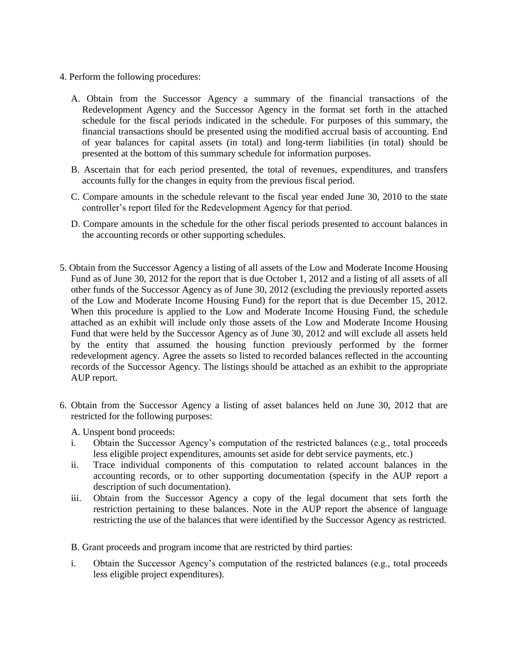- 4. Perform the following procedures:
	- A. Obtain from the Successor Agency a summary of the financial transactions of the Redevelopment Agency and the Successor Agency in the format set forth in the attached schedule for the fiscal periods indicated in the schedule. For purposes of this summary, the financial transactions should be presented using the modified accrual basis of accounting. End of year balances for capital assets (in total) and long-term liabilities (in total) should be presented at the bottom of this summary schedule for information purposes.
	- B. Ascertain that for each period presented, the total of revenues, expenditures, and transfers accounts fully for the changes in equity from the previous fiscal period.
	- C. Compare amounts in the schedule relevant to the fiscal year ended June 30, 2010 to the state controller's report filed for the Redevelopment Agency for that period.
	- D. Compare amounts in the schedule for the other fiscal periods presented to account balances in the accounting records or other supporting schedules.
- 5. Obtain from the Successor Agency a listing of all assets of the Low and Moderate Income Housing Fund as of June 30, 2012 for the report that is due October 1, 2012 and a listing of all assets of all other funds of the Successor Agency as of June 30, 2012 (excluding the previously reported assets of the Low and Moderate Income Housing Fund) for the report that is due December 15, 2012. When this procedure is applied to the Low and Moderate Income Housing Fund, the schedule attached as an exhibit will include only those assets of the Low and Moderate Income Housing Fund that were held by the Successor Agency as of June 30, 2012 and will exclude all assets held by the entity that assumed the housing function previously performed by the former redevelopment agency. Agree the assets so listed to recorded balances reflected in the accounting records of the Successor Agency. The listings should be attached as an exhibit to the appropriate AUP report.
- 6. Obtain from the Successor Agency a listing of asset balances held on June 30, 2012 that are restricted for the following purposes:
	- A. Unspent bond proceeds:
	- i. Obtain the Successor Agency's computation of the restricted balances (e.g., total proceeds less eligible project expenditures, amounts set aside for debt service payments, etc.)
	- ii. Trace individual components of this computation to related account balances in the accounting records, or to other supporting documentation (specify in the AUP report a description of such documentation).
	- iii. Obtain from the Successor Agency a copy of the legal document that sets forth the restriction pertaining to these balances. Note in the AUP report the absence of language restricting the use of the balances that were identified by the Successor Agency as restricted.
	- B. Grant proceeds and program income that are restricted by third parties:
	- i. Obtain the Successor Agency's computation of the restricted balances (e.g., total proceeds less eligible project expenditures).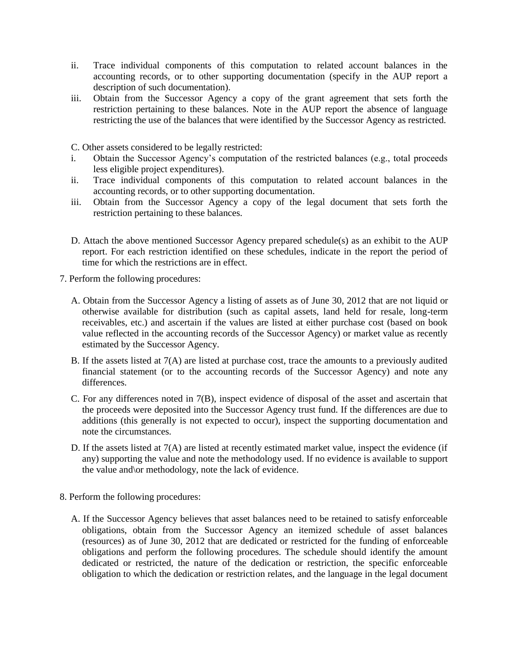- ii. Trace individual components of this computation to related account balances in the accounting records, or to other supporting documentation (specify in the AUP report a description of such documentation).
- iii. Obtain from the Successor Agency a copy of the grant agreement that sets forth the restriction pertaining to these balances. Note in the AUP report the absence of language restricting the use of the balances that were identified by the Successor Agency as restricted.

C. Other assets considered to be legally restricted:

- i. Obtain the Successor Agency's computation of the restricted balances (e.g., total proceeds less eligible project expenditures).
- ii. Trace individual components of this computation to related account balances in the accounting records, or to other supporting documentation.
- iii. Obtain from the Successor Agency a copy of the legal document that sets forth the restriction pertaining to these balances.
- D. Attach the above mentioned Successor Agency prepared schedule(s) as an exhibit to the AUP report. For each restriction identified on these schedules, indicate in the report the period of time for which the restrictions are in effect.
- 7. Perform the following procedures:
	- A. Obtain from the Successor Agency a listing of assets as of June 30, 2012 that are not liquid or otherwise available for distribution (such as capital assets, land held for resale, long-term receivables, etc.) and ascertain if the values are listed at either purchase cost (based on book value reflected in the accounting records of the Successor Agency) or market value as recently estimated by the Successor Agency.
	- B. If the assets listed at 7(A) are listed at purchase cost, trace the amounts to a previously audited financial statement (or to the accounting records of the Successor Agency) and note any differences.
	- C. For any differences noted in  $7(B)$ , inspect evidence of disposal of the asset and ascertain that the proceeds were deposited into the Successor Agency trust fund. If the differences are due to additions (this generally is not expected to occur), inspect the supporting documentation and note the circumstances.
	- D. If the assets listed at 7(A) are listed at recently estimated market value, inspect the evidence (if any) supporting the value and note the methodology used. If no evidence is available to support the value and\or methodology, note the lack of evidence.
- 8. Perform the following procedures:
	- A. If the Successor Agency believes that asset balances need to be retained to satisfy enforceable obligations, obtain from the Successor Agency an itemized schedule of asset balances (resources) as of June 30, 2012 that are dedicated or restricted for the funding of enforceable obligations and perform the following procedures. The schedule should identify the amount dedicated or restricted, the nature of the dedication or restriction, the specific enforceable obligation to which the dedication or restriction relates, and the language in the legal document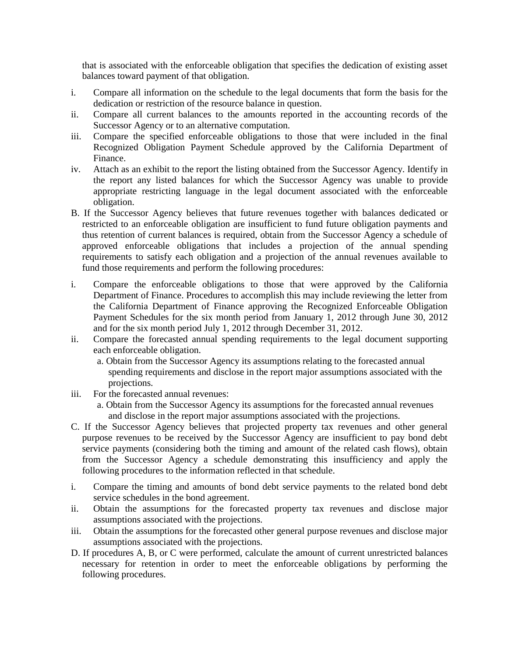that is associated with the enforceable obligation that specifies the dedication of existing asset balances toward payment of that obligation.

- i. Compare all information on the schedule to the legal documents that form the basis for the dedication or restriction of the resource balance in question.
- ii. Compare all current balances to the amounts reported in the accounting records of the Successor Agency or to an alternative computation.
- iii. Compare the specified enforceable obligations to those that were included in the final Recognized Obligation Payment Schedule approved by the California Department of Finance.
- iv. Attach as an exhibit to the report the listing obtained from the Successor Agency. Identify in the report any listed balances for which the Successor Agency was unable to provide appropriate restricting language in the legal document associated with the enforceable obligation.
- B. If the Successor Agency believes that future revenues together with balances dedicated or restricted to an enforceable obligation are insufficient to fund future obligation payments and thus retention of current balances is required, obtain from the Successor Agency a schedule of approved enforceable obligations that includes a projection of the annual spending requirements to satisfy each obligation and a projection of the annual revenues available to fund those requirements and perform the following procedures:
- i. Compare the enforceable obligations to those that were approved by the California Department of Finance. Procedures to accomplish this may include reviewing the letter from the California Department of Finance approving the Recognized Enforceable Obligation Payment Schedules for the six month period from January 1, 2012 through June 30, 2012 and for the six month period July 1, 2012 through December 31, 2012.
- ii. Compare the forecasted annual spending requirements to the legal document supporting each enforceable obligation.
	- a. Obtain from the Successor Agency its assumptions relating to the forecasted annual spending requirements and disclose in the report major assumptions associated with the projections.
- iii. For the forecasted annual revenues:
	- a. Obtain from the Successor Agency its assumptions for the forecasted annual revenues and disclose in the report major assumptions associated with the projections.
- C. If the Successor Agency believes that projected property tax revenues and other general purpose revenues to be received by the Successor Agency are insufficient to pay bond debt service payments (considering both the timing and amount of the related cash flows), obtain from the Successor Agency a schedule demonstrating this insufficiency and apply the following procedures to the information reflected in that schedule.
- i. Compare the timing and amounts of bond debt service payments to the related bond debt service schedules in the bond agreement.
- ii. Obtain the assumptions for the forecasted property tax revenues and disclose major assumptions associated with the projections.
- iii. Obtain the assumptions for the forecasted other general purpose revenues and disclose major assumptions associated with the projections.
- D. If procedures A, B, or C were performed, calculate the amount of current unrestricted balances necessary for retention in order to meet the enforceable obligations by performing the following procedures.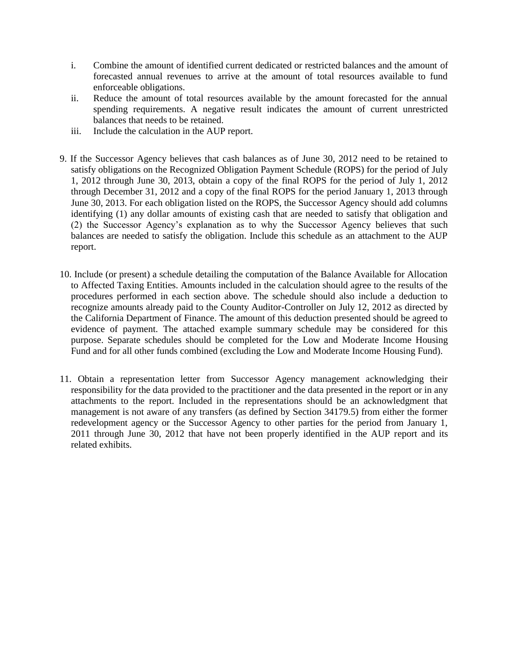- i. Combine the amount of identified current dedicated or restricted balances and the amount of forecasted annual revenues to arrive at the amount of total resources available to fund enforceable obligations.
- ii. Reduce the amount of total resources available by the amount forecasted for the annual spending requirements. A negative result indicates the amount of current unrestricted balances that needs to be retained.
- iii. Include the calculation in the AUP report.
- 9. If the Successor Agency believes that cash balances as of June 30, 2012 need to be retained to satisfy obligations on the Recognized Obligation Payment Schedule (ROPS) for the period of July 1, 2012 through June 30, 2013, obtain a copy of the final ROPS for the period of July 1, 2012 through December 31, 2012 and a copy of the final ROPS for the period January 1, 2013 through June 30, 2013. For each obligation listed on the ROPS, the Successor Agency should add columns identifying (1) any dollar amounts of existing cash that are needed to satisfy that obligation and (2) the Successor Agency's explanation as to why the Successor Agency believes that such balances are needed to satisfy the obligation. Include this schedule as an attachment to the AUP report.
- 10. Include (or present) a schedule detailing the computation of the Balance Available for Allocation to Affected Taxing Entities. Amounts included in the calculation should agree to the results of the procedures performed in each section above. The schedule should also include a deduction to recognize amounts already paid to the County Auditor-Controller on July 12, 2012 as directed by the California Department of Finance. The amount of this deduction presented should be agreed to evidence of payment. The attached example summary schedule may be considered for this purpose. Separate schedules should be completed for the Low and Moderate Income Housing Fund and for all other funds combined (excluding the Low and Moderate Income Housing Fund).
- 11. Obtain a representation letter from Successor Agency management acknowledging their responsibility for the data provided to the practitioner and the data presented in the report or in any attachments to the report. Included in the representations should be an acknowledgment that management is not aware of any transfers (as defined by Section 34179.5) from either the former redevelopment agency or the Successor Agency to other parties for the period from January 1, 2011 through June 30, 2012 that have not been properly identified in the AUP report and its related exhibits.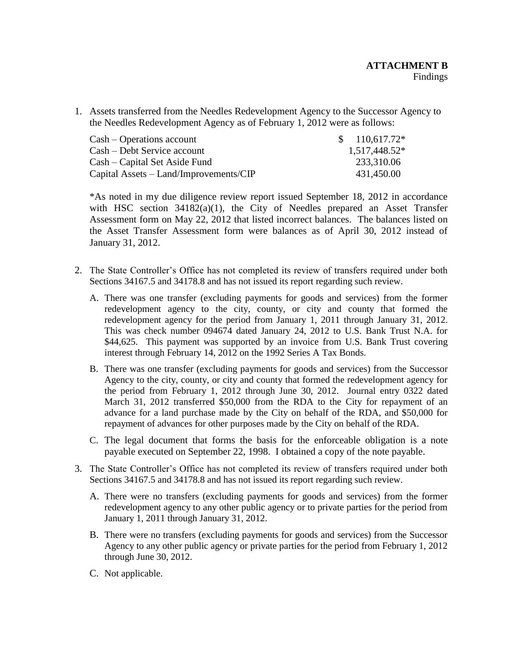1. Assets transferred from the Needles Redevelopment Agency to the Successor Agency to the Needles Redevelopment Agency as of February 1, 2012 were as follows:

| Cash – Operations account              | $$110,617.72*$ |
|----------------------------------------|----------------|
| Cash – Debt Service account            | 1,517,448.52*  |
| Cash – Capital Set Aside Fund          | 233,310.06     |
| Capital Assets – Land/Improvements/CIP | 431,450.00     |

\*As noted in my due diligence review report issued September 18, 2012 in accordance with HSC section 34182(a)(1), the City of Needles prepared an Asset Transfer Assessment form on May 22, 2012 that listed incorrect balances. The balances listed on the Asset Transfer Assessment form were balances as of April 30, 2012 instead of January 31, 2012.

- 2. The State Controller's Office has not completed its review of transfers required under both Sections 34167.5 and 34178.8 and has not issued its report regarding such review.
	- A. There was one transfer (excluding payments for goods and services) from the former redevelopment agency to the city, county, or city and county that formed the redevelopment agency for the period from January 1, 2011 through January 31, 2012. This was check number 094674 dated January 24, 2012 to U.S. Bank Trust N.A. for \$44,625. This payment was supported by an invoice from U.S. Bank Trust covering interest through February 14, 2012 on the 1992 Series A Tax Bonds.
	- B. There was one transfer (excluding payments for goods and services) from the Successor Agency to the city, county, or city and county that formed the redevelopment agency for the period from February 1, 2012 through June 30, 2012. Journal entry 0322 dated March 31, 2012 transferred \$50,000 from the RDA to the City for repayment of an advance for a land purchase made by the City on behalf of the RDA, and \$50,000 for repayment of advances for other purposes made by the City on behalf of the RDA.
	- C. The legal document that forms the basis for the enforceable obligation is a note payable executed on September 22, 1998. I obtained a copy of the note payable.
- 3. The State Controller's Office has not completed its review of transfers required under both Sections 34167.5 and 34178.8 and has not issued its report regarding such review.
	- A. There were no transfers (excluding payments for goods and services) from the former redevelopment agency to any other public agency or to private parties for the period from January 1, 2011 through January 31, 2012.
	- B. There were no transfers (excluding payments for goods and services) from the Successor Agency to any other public agency or private parties for the period from February 1, 2012 through June 30, 2012.
	- C. Not applicable.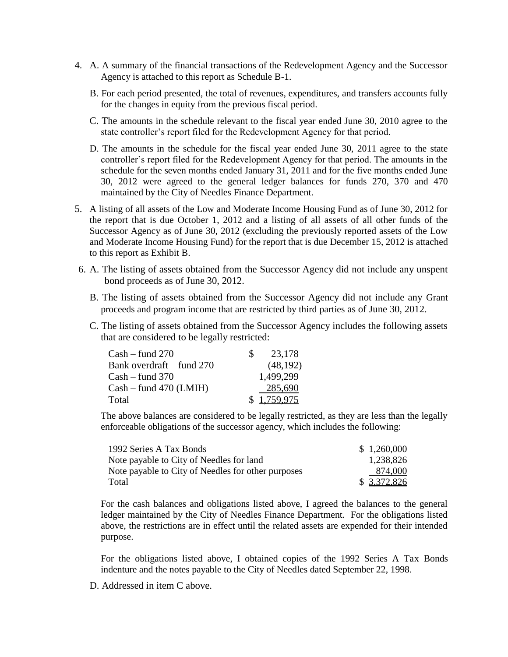- 4. A. A summary of the financial transactions of the Redevelopment Agency and the Successor Agency is attached to this report as Schedule B-1.
	- B. For each period presented, the total of revenues, expenditures, and transfers accounts fully for the changes in equity from the previous fiscal period.
	- C. The amounts in the schedule relevant to the fiscal year ended June 30, 2010 agree to the state controller's report filed for the Redevelopment Agency for that period.
	- D. The amounts in the schedule for the fiscal year ended June 30, 2011 agree to the state controller's report filed for the Redevelopment Agency for that period. The amounts in the schedule for the seven months ended January 31, 2011 and for the five months ended June 30, 2012 were agreed to the general ledger balances for funds 270, 370 and 470 maintained by the City of Needles Finance Department.
- 5. A listing of all assets of the Low and Moderate Income Housing Fund as of June 30, 2012 for the report that is due October 1, 2012 and a listing of all assets of all other funds of the Successor Agency as of June 30, 2012 (excluding the previously reported assets of the Low and Moderate Income Housing Fund) for the report that is due December 15, 2012 is attached to this report as Exhibit B.
- 6. A. The listing of assets obtained from the Successor Agency did not include any unspent bond proceeds as of June 30, 2012.
	- B. The listing of assets obtained from the Successor Agency did not include any Grant proceeds and program income that are restricted by third parties as of June 30, 2012.
	- C. The listing of assets obtained from the Successor Agency includes the following assets that are considered to be legally restricted:

| $Cash - fund 270$         | SS. | 23,178      |
|---------------------------|-----|-------------|
| Bank overdraft – fund 270 |     | (48, 192)   |
| $Cash - fund 370$         |     | 1,499,299   |
| $Cash$ – fund 470 (LMIH)  |     | 285,690     |
| Total                     |     | \$1,759,975 |

The above balances are considered to be legally restricted, as they are less than the legally enforceable obligations of the successor agency, which includes the following:

| 1992 Series A Tax Bonds                            | \$1,260,000 |
|----------------------------------------------------|-------------|
| Note payable to City of Needles for land           | 1,238,826   |
| Note payable to City of Needles for other purposes | 874,000     |
| Total                                              | \$3,372,826 |

For the cash balances and obligations listed above, I agreed the balances to the general ledger maintained by the City of Needles Finance Department. For the obligations listed above, the restrictions are in effect until the related assets are expended for their intended purpose.

For the obligations listed above, I obtained copies of the 1992 Series A Tax Bonds indenture and the notes payable to the City of Needles dated September 22, 1998.

D. Addressed in item C above.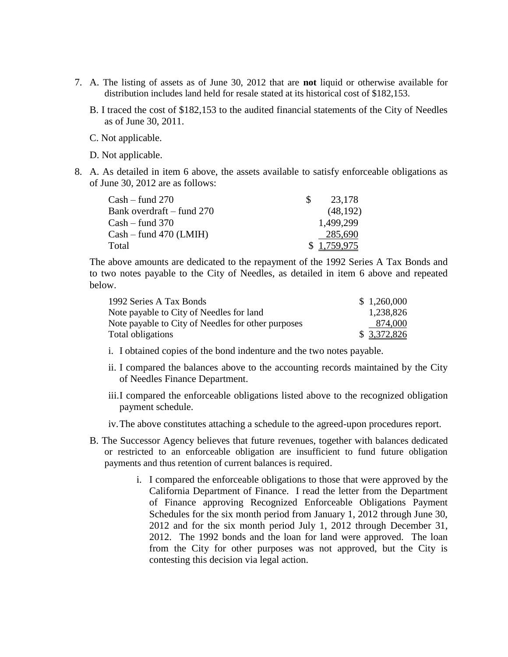- 7. A. The listing of assets as of June 30, 2012 that are **not** liquid or otherwise available for distribution includes land held for resale stated at its historical cost of \$182,153.
	- B. I traced the cost of \$182,153 to the audited financial statements of the City of Needles as of June 30, 2011.
	- C. Not applicable.
	- D. Not applicable.
- 8. A. As detailed in item 6 above, the assets available to satisfy enforceable obligations as of June 30, 2012 are as follows:

| $Cash - fund 270$           | SS. | 23,178      |
|-----------------------------|-----|-------------|
| Bank overdraft – fund $270$ |     | (48, 192)   |
| $Cash - fund 370$           |     | 1.499.299   |
| $Cash$ – fund 470 (LMIH)    |     | 285,690     |
| Total                       |     | \$1,759,975 |

The above amounts are dedicated to the repayment of the 1992 Series A Tax Bonds and to two notes payable to the City of Needles, as detailed in item 6 above and repeated below.

| 1992 Series A Tax Bonds                            | \$1,260,000 |
|----------------------------------------------------|-------------|
| Note payable to City of Needles for land           | 1,238,826   |
| Note payable to City of Needles for other purposes | 874,000     |
| Total obligations                                  | \$3,372,826 |

- i. I obtained copies of the bond indenture and the two notes payable.
- ii. I compared the balances above to the accounting records maintained by the City of Needles Finance Department.
- iii.I compared the enforceable obligations listed above to the recognized obligation payment schedule.
- iv.The above constitutes attaching a schedule to the agreed-upon procedures report.
- B. The Successor Agency believes that future revenues, together with balances dedicated or restricted to an enforceable obligation are insufficient to fund future obligation payments and thus retention of current balances is required.
	- i. I compared the enforceable obligations to those that were approved by the California Department of Finance. I read the letter from the Department of Finance approving Recognized Enforceable Obligations Payment Schedules for the six month period from January 1, 2012 through June 30, 2012 and for the six month period July 1, 2012 through December 31, 2012. The 1992 bonds and the loan for land were approved. The loan from the City for other purposes was not approved, but the City is contesting this decision via legal action.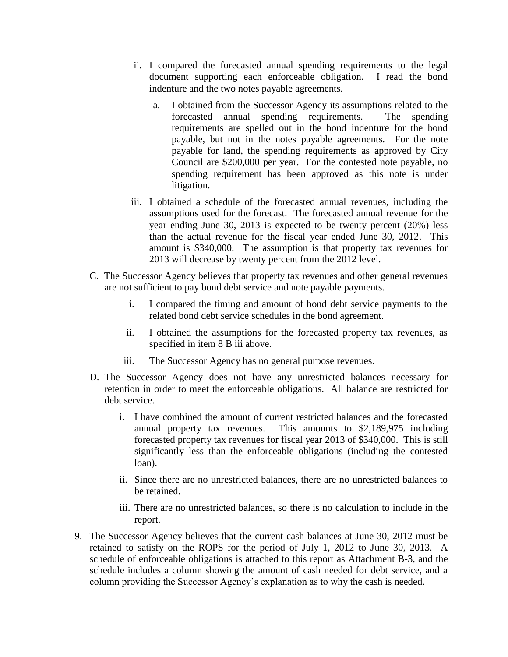- ii. I compared the forecasted annual spending requirements to the legal document supporting each enforceable obligation. I read the bond indenture and the two notes payable agreements.
	- a. I obtained from the Successor Agency its assumptions related to the forecasted annual spending requirements. The spending requirements are spelled out in the bond indenture for the bond payable, but not in the notes payable agreements. For the note payable for land, the spending requirements as approved by City Council are \$200,000 per year. For the contested note payable, no spending requirement has been approved as this note is under litigation.
- iii. I obtained a schedule of the forecasted annual revenues, including the assumptions used for the forecast. The forecasted annual revenue for the year ending June 30, 2013 is expected to be twenty percent (20%) less than the actual revenue for the fiscal year ended June 30, 2012. This amount is \$340,000. The assumption is that property tax revenues for 2013 will decrease by twenty percent from the 2012 level.
- C. The Successor Agency believes that property tax revenues and other general revenues are not sufficient to pay bond debt service and note payable payments.
	- i. I compared the timing and amount of bond debt service payments to the related bond debt service schedules in the bond agreement.
	- ii. I obtained the assumptions for the forecasted property tax revenues, as specified in item 8 B iii above.
	- iii. The Successor Agency has no general purpose revenues.
- D. The Successor Agency does not have any unrestricted balances necessary for retention in order to meet the enforceable obligations. All balance are restricted for debt service.
	- i. I have combined the amount of current restricted balances and the forecasted annual property tax revenues. This amounts to \$2,189,975 including forecasted property tax revenues for fiscal year 2013 of \$340,000. This is still significantly less than the enforceable obligations (including the contested loan).
	- ii. Since there are no unrestricted balances, there are no unrestricted balances to be retained.
	- iii. There are no unrestricted balances, so there is no calculation to include in the report.
- 9. The Successor Agency believes that the current cash balances at June 30, 2012 must be retained to satisfy on the ROPS for the period of July 1, 2012 to June 30, 2013. A schedule of enforceable obligations is attached to this report as Attachment B-3, and the schedule includes a column showing the amount of cash needed for debt service, and a column providing the Successor Agency's explanation as to why the cash is needed.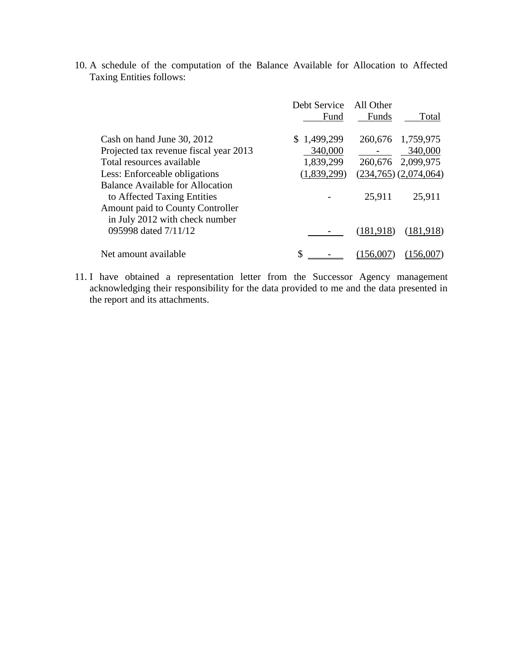|                                                                                                     | Debt Service<br>Fund | All Other<br>Funds | Total                     |
|-----------------------------------------------------------------------------------------------------|----------------------|--------------------|---------------------------|
| Cash on hand June 30, 2012                                                                          | \$1,499,299          | 260,676            | 1,759,975                 |
| Projected tax revenue fiscal year 2013                                                              | 340,000              |                    | 340,000                   |
| Total resources available                                                                           | 1,839,299            | 260,676            | 2,099,975                 |
| Less: Enforceable obligations                                                                       | (1,839,299)          |                    | $(234,765)$ $(2,074,064)$ |
| Balance Available for Allocation<br>to Affected Taxing Entities<br>Amount paid to County Controller |                      | 25,911             | 25,911                    |
| in July 2012 with check number<br>095998 dated 7/11/12                                              |                      | (181,918)          | (181,918)                 |
| Net amount available                                                                                | \$                   |                    |                           |

10. A schedule of the computation of the Balance Available for Allocation to Affected Taxing Entities follows:

11. I have obtained a representation letter from the Successor Agency management acknowledging their responsibility for the data provided to me and the data presented in the report and its attachments.